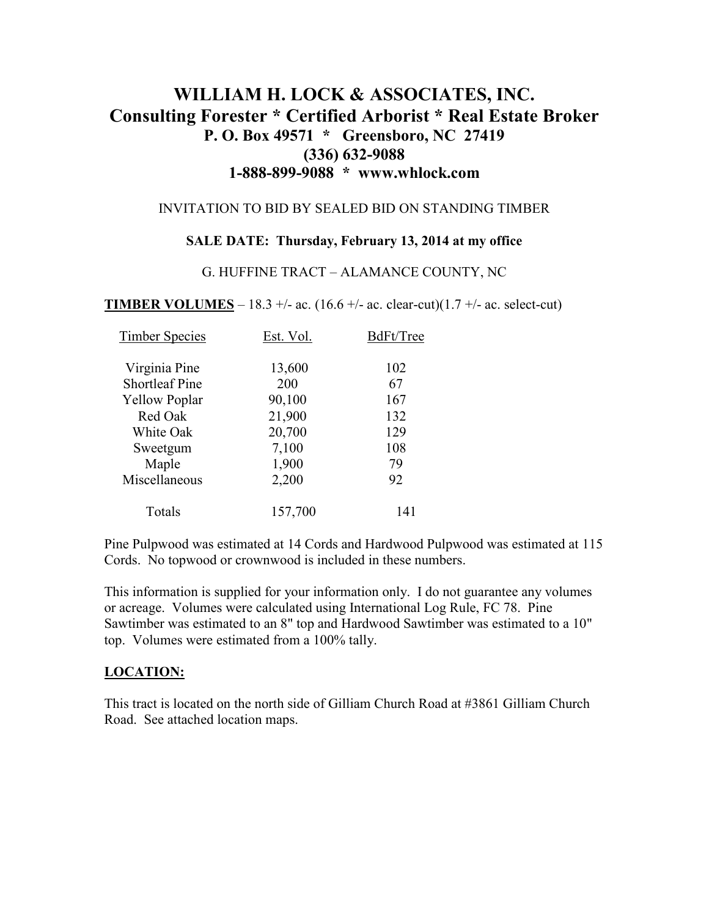# **WILLIAM H. LOCK & ASSOCIATES, INC. Consulting Forester \* Certified Arborist \* Real Estate Broker P. O. Box 49571 \* Greensboro, NC 27419 (336) 632-9088 1-888-899-9088 \* www.whlock.com**

#### INVITATION TO BID BY SEALED BID ON STANDING TIMBER

### **SALE DATE: Thursday, February 13, 2014 at my office**

#### G. HUFFINE TRACT – ALAMANCE COUNTY, NC

**TIMBER VOLUMES** – 18.3 +/- ac. (16.6 +/- ac. clear-cut)(1.7 +/- ac. select-cut)

| <b>Timber Species</b> | Est. Vol. | BdFt/Tree |
|-----------------------|-----------|-----------|
| Virginia Pine         | 13,600    | 102       |
| <b>Shortleaf Pine</b> | 200       | 67        |
| <b>Yellow Poplar</b>  | 90,100    | 167       |
| Red Oak               | 21,900    | 132       |
| White Oak             | 20,700    | 129       |
| Sweetgum              | 7,100     | 108       |
| Maple                 | 1,900     | 79        |
| Miscellaneous         | 2,200     | 92        |
| Totals                | 157,700   | 141       |

Pine Pulpwood was estimated at 14 Cords and Hardwood Pulpwood was estimated at 115 Cords. No topwood or crownwood is included in these numbers.

This information is supplied for your information only. I do not guarantee any volumes or acreage. Volumes were calculated using International Log Rule, FC 78. Pine Sawtimber was estimated to an 8" top and Hardwood Sawtimber was estimated to a 10" top. Volumes were estimated from a 100% tally.

### **LOCATION:**

This tract is located on the north side of Gilliam Church Road at #3861 Gilliam Church Road. See attached location maps.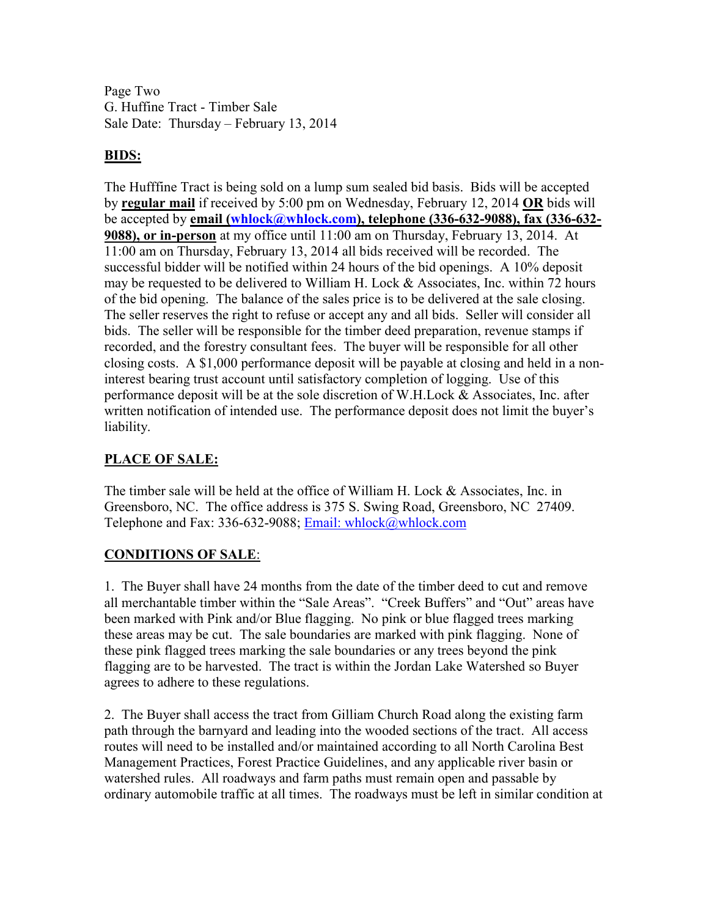Page Two G. Huffine Tract - Timber Sale Sale Date: Thursday – February 13, 2014

# **BIDS:**

The Hufffine Tract is being sold on a lump sum sealed bid basis. Bids will be accepted by **regular mail** if received by 5:00 pm on Wednesday, February 12, 2014 **OR** bids will be accepted by **email (whlock@whlock.com), telephone (336-632-9088), fax (336-632- 9088), or in-person** at my office until 11:00 am on Thursday, February 13, 2014. At 11:00 am on Thursday, February 13, 2014 all bids received will be recorded. The successful bidder will be notified within 24 hours of the bid openings. A 10% deposit may be requested to be delivered to William H. Lock & Associates, Inc. within 72 hours of the bid opening. The balance of the sales price is to be delivered at the sale closing. The seller reserves the right to refuse or accept any and all bids. Seller will consider all bids. The seller will be responsible for the timber deed preparation, revenue stamps if recorded, and the forestry consultant fees. The buyer will be responsible for all other closing costs. A \$1,000 performance deposit will be payable at closing and held in a noninterest bearing trust account until satisfactory completion of logging. Use of this performance deposit will be at the sole discretion of W.H.Lock & Associates, Inc. after written notification of intended use. The performance deposit does not limit the buyer's liability.

## **PLACE OF SALE:**

The timber sale will be held at the office of William H. Lock & Associates, Inc. in Greensboro, NC. The office address is 375 S. Swing Road, Greensboro, NC 27409. Telephone and Fax: 336-632-9088; Email: whlock@whlock.com

### **CONDITIONS OF SALE**:

1. The Buyer shall have 24 months from the date of the timber deed to cut and remove all merchantable timber within the "Sale Areas". "Creek Buffers" and "Out" areas have been marked with Pink and/or Blue flagging. No pink or blue flagged trees marking these areas may be cut. The sale boundaries are marked with pink flagging. None of these pink flagged trees marking the sale boundaries or any trees beyond the pink flagging are to be harvested. The tract is within the Jordan Lake Watershed so Buyer agrees to adhere to these regulations.

2. The Buyer shall access the tract from Gilliam Church Road along the existing farm path through the barnyard and leading into the wooded sections of the tract. All access routes will need to be installed and/or maintained according to all North Carolina Best Management Practices, Forest Practice Guidelines, and any applicable river basin or watershed rules. All roadways and farm paths must remain open and passable by ordinary automobile traffic at all times. The roadways must be left in similar condition at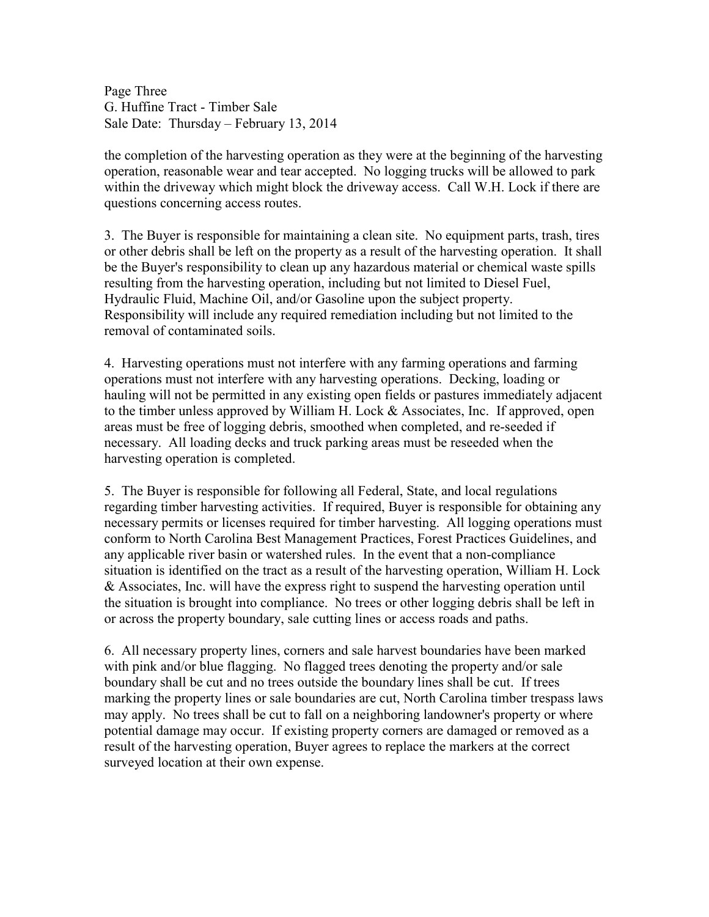Page Three G. Huffine Tract - Timber Sale Sale Date: Thursday – February 13, 2014

the completion of the harvesting operation as they were at the beginning of the harvesting operation, reasonable wear and tear accepted. No logging trucks will be allowed to park within the driveway which might block the driveway access. Call W.H. Lock if there are questions concerning access routes.

3. The Buyer is responsible for maintaining a clean site. No equipment parts, trash, tires or other debris shall be left on the property as a result of the harvesting operation. It shall be the Buyer's responsibility to clean up any hazardous material or chemical waste spills resulting from the harvesting operation, including but not limited to Diesel Fuel, Hydraulic Fluid, Machine Oil, and/or Gasoline upon the subject property. Responsibility will include any required remediation including but not limited to the removal of contaminated soils.

4. Harvesting operations must not interfere with any farming operations and farming operations must not interfere with any harvesting operations. Decking, loading or hauling will not be permitted in any existing open fields or pastures immediately adjacent to the timber unless approved by William H. Lock & Associates, Inc. If approved, open areas must be free of logging debris, smoothed when completed, and re-seeded if necessary. All loading decks and truck parking areas must be reseeded when the harvesting operation is completed.

5. The Buyer is responsible for following all Federal, State, and local regulations regarding timber harvesting activities. If required, Buyer is responsible for obtaining any necessary permits or licenses required for timber harvesting. All logging operations must conform to North Carolina Best Management Practices, Forest Practices Guidelines, and any applicable river basin or watershed rules. In the event that a non-compliance situation is identified on the tract as a result of the harvesting operation, William H. Lock & Associates, Inc. will have the express right to suspend the harvesting operation until the situation is brought into compliance. No trees or other logging debris shall be left in or across the property boundary, sale cutting lines or access roads and paths.

6. All necessary property lines, corners and sale harvest boundaries have been marked with pink and/or blue flagging. No flagged trees denoting the property and/or sale boundary shall be cut and no trees outside the boundary lines shall be cut. If trees marking the property lines or sale boundaries are cut, North Carolina timber trespass laws may apply. No trees shall be cut to fall on a neighboring landowner's property or where potential damage may occur. If existing property corners are damaged or removed as a result of the harvesting operation, Buyer agrees to replace the markers at the correct surveyed location at their own expense.